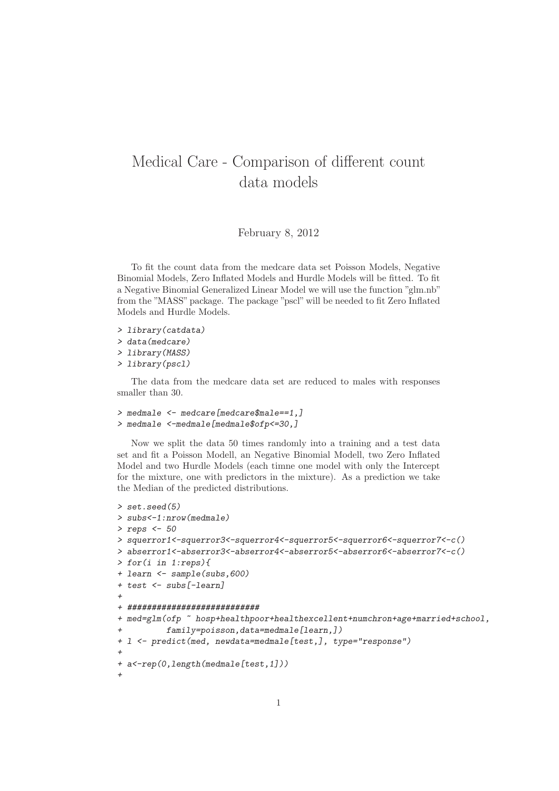## Medical Care - Comparison of different count data models

## February 8, 2012

To fit the count data from the medcare data set Poisson Models, Negative Binomial Models, Zero Inflated Models and Hurdle Models will be fitted. To fit a Negative Binomial Generalized Linear Model we will use the function "glm.nb" from the "MASS" package. The package "pscl" will be needed to fit Zero Inflated Models and Hurdle Models.

- *> library(catdata)*
- *> data(medcare)*
- *> library(MASS)*
- *> library(pscl)*

The data from the medcare data set are reduced to males with responses smaller than 30.

```
> medmale <- medcare[medcare$male==1,]
> medmale <-medmale[medmale$ofp<=30,]
```
Now we split the data 50 times randomly into a training and a test data set and fit a Poisson Modell, an Negative Binomial Modell, two Zero Inflated Model and two Hurdle Models (each timne one model with only the Intercept for the mixture, one with predictors in the mixture). As a prediction we take the Median of the predicted distributions.

```
> set.seed(5)
> subs<-1:nrow(medmale)
> reps <- 50
> squerror1<-squerror3<-squerror4<-squerror5<-squerror6<-squerror7<-c()
> abserror1<-abserror3<-abserror4<-abserror5<-abserror6<-abserror7<-c()
> for(i in 1:reps){
+ learn <- sample(subs,600)
+ test <- subs[-learn]
+
+ ###########################
+ med=glm(ofp ~ hosp+healthpoor+healthexcellent+numchron+age+married+school,
          + family=poisson,data=medmale[learn,])
+ l <- predict(med, newdata=medmale[test,], type="response")
+
+ a<-rep(0,length(medmale[test,1]))
+
```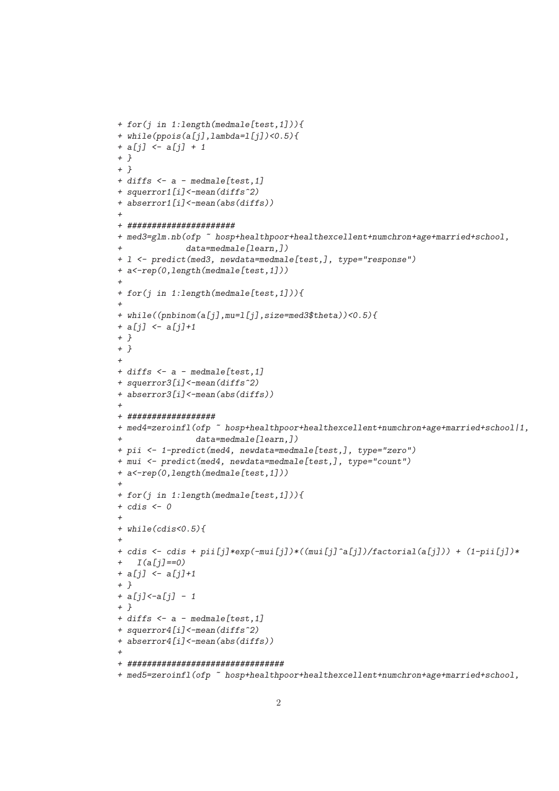```
+ for(j in 1:length(medmale[test,1])){
+ while(ppois(a[j],lambda=l[j])<0.5){
+ a[j] <- a[j] + 1
+ }
+ }
+ diffs <- a - medmale[test,1]
+ squerror1[i]<-mean(diffs^2)
+ abserror1[i]<-mean(abs(diffs))
+
+ ######################
+ med3=glm.nb(ofp ~ hosp+healthpoor+healthexcellent+numchron+age+married+school,
              + data=medmale[learn,])
+ l <- predict(med3, newdata=medmale[test,], type="response")
+ a<-rep(0,length(medmale[test,1]))
+
+ for(j in 1:length(medmale[test,1])){
+
+ while((pnbinom(a[j],mu=l[j],size=med3$theta))<0.5){
+ a[j] <- a[j]+1
+ }
+ }
+
+ diffs <- a - medmale[test,1]
+ squerror3[i]<-mean(diffs^2)
+ abserror3[i]<-mean(abs(diffs))
+
+ ##################
+ med4=zeroinfl(ofp ~ hosp+healthpoor+healthexcellent+numchron+age+married+school|1,
                + data=medmale[learn,])
+ pii <- 1-predict(med4, newdata=medmale[test,], type="zero")
+ mui <- predict(med4, newdata=medmale[test,], type="count")
+ a<-rep(0,length(medmale[test,1]))
+
+ for(j in 1:length(medmale[test,1])){
+ cdis <- 0
+
+ while(cdis<0.5){
+
+ cdis <- cdis + pii[j]*exp(-mui[j])*((mui[j]^a[j])/factorial(a[j])) + (1-pii[j])*
+ I(a[j]==0)
+ a[j] <- a[j]+1
+ }
+ a[j]<-a[j] - 1
+ }
+ diffs <- a - medmale[test,1]
+ squerror4[i]<-mean(diffs^2)
+ abserror4[i]<-mean(abs(diffs))
+
+ ################################
+ med5=zeroinfl(ofp ~ hosp+healthpoor+healthexcellent+numchron+age+married+school,
```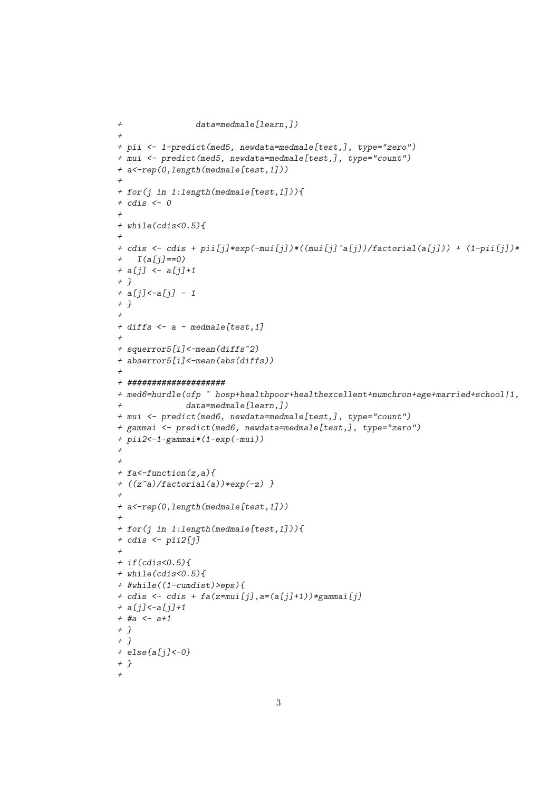```
+ data=medmale[learn,])
+
+ pii <- 1-predict(med5, newdata=medmale[test,], type="zero")
+ mui <- predict(med5, newdata=medmale[test,], type="count")
+ a<-rep(0,length(medmale[test,1]))
+
+ for(j in 1:length(medmale[test,1])){
+ cdis <- 0
+
+ while(cdis<0.5){
+
+ cdis <- cdis + pii[j]*exp(-mui[j])*((mui[j]^a[j])/factorial(a[j])) + (1-pii[j])*
+ I(a[j]==0)
+ a[j] <- a[j]+1
+ }
+ a[j]<-a[j] - 1
+ }
+
+ diffs <- a - medmale[test,1]
+
+ squerror5[i]<-mean(diffs^2)
+ abserror5[i]<-mean(abs(diffs))
+
+ ####################
+ med6=hurdle(ofp ~ hosp+healthpoor+healthexcellent+numchron+age+married+school|1,
              + data=medmale[learn,])
+ mui <- predict(med6, newdata=medmale[test,], type="count")
+ gammai <- predict(med6, newdata=medmale[test,], type="zero")
+ pii2<-1-gammai*(1-exp(-mui))
+
+
+ fa<-function(z,a){
+ ((z^a)/factorial(a))*exp(-z) }
+
+ a<-rep(0,length(medmale[test,1]))
+
+ for(j in 1:length(medmale[test,1])){
+ cdis <- pii2[j]
+
+ if(cdis<0.5){
+ while(cdis<0.5){
+ #while((1-cumdist)>eps){
+ cdis <- cdis + fa(z=mui[j],a=(a[j]+1))*gammai[j]
+ a[j]<-a[j]+1
+ #a <- a+1
+ }
+ }
+ else{a[j]<-0}
+ }
+
```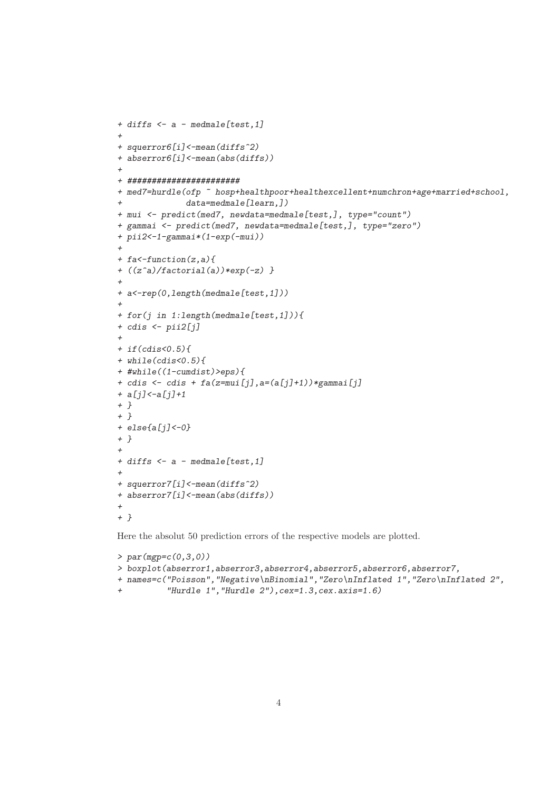```
+ diffs <- a - medmale[test,1]
+
+ squerror6[i]<-mean(diffs^2)
+ abserror6[i]<-mean(abs(diffs))
+
+ #######################
+ med7=hurdle(ofp ~ hosp+healthpoor+healthexcellent+numchron+age+married+school,
              + data=medmale[learn,])
+ mui <- predict(med7, newdata=medmale[test,], type="count")
+ gammai <- predict(med7, newdata=medmale[test,], type="zero")
+ pii2<-1-gammai*(1-exp(-mui))
+
+ fa<-function(z,a){
+ ((z^a)/factorial(a))*exp(-z) }
+
+ a<-rep(0,length(medmale[test,1]))
+
+ for(j in 1:length(medmale[test,1])){
+ cdis <- pii2[j]
+
+ if(cdis<0.5){
+ while(cdis<0.5){
+ #while((1-cumdist)>eps){
+ cdis <- cdis + fa(z=mui[j],a=(a[j]+1))*gammai[j]
+ a[j]<-a[j]+1
+ }
+ }
+ else{a[j]<-0}
+ }
+
+ diffs <- a - medmale[test,1]
+
+ squerror7[i]<-mean(diffs^2)
+ abserror7[i]<-mean(abs(diffs))
+
+ }
```
Here the absolut 50 prediction errors of the respective models are plotted.

```
> par(mgp=c(0,3,0))
> boxplot(abserror1,abserror3,abserror4,abserror5,abserror6,abserror7,
+ names=c("Poisson","Negative\nBinomial","Zero\nInflated 1","Zero\nInflated 2",
+ "Hurdle 1","Hurdle 2"),cex=1.3,cex.axis=1.6)
```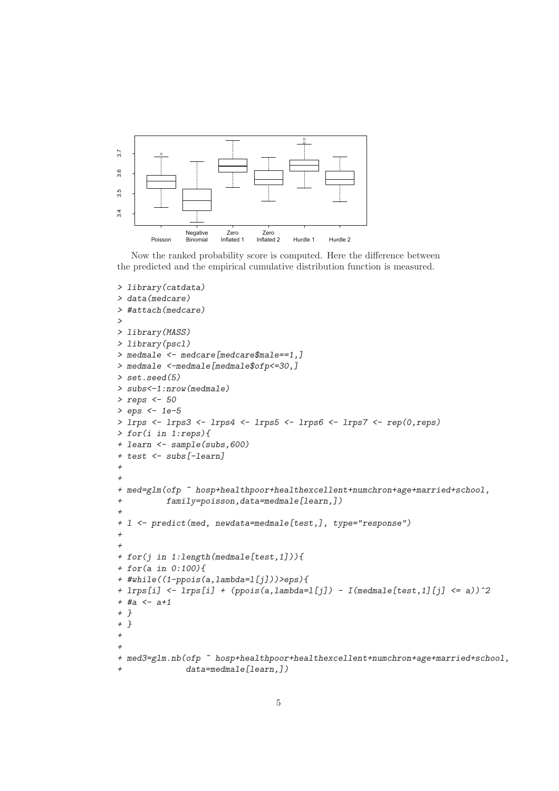

Now the ranked probability score is computed. Here the difference between the predicted and the empirical cumulative distribution function is measured.

```
> library(catdata)
> data(medcare)
> #attach(medcare)
>
> library(MASS)
> library(pscl)
> medmale <- medcare[medcare$male==1,]
> medmale <-medmale[medmale$ofp<=30,]
> set.seed(5)
> subs<-1:nrow(medmale)
> reps <- 50
> eps <- 1e-5
> lrps <- lrps3 <- lrps4 <- lrps5 <- lrps6 <- lrps7 <- rep(0,reps)
> for(i in 1:reps){
+ learn <- sample(subs,600)
+ test <- subs[-learn]
+
+
+ med=glm(ofp ~ hosp+healthpoor+healthexcellent+numchron+age+married+school,
+ family=poisson,data=medmale[learn,])
+
+ l <- predict(med, newdata=medmale[test,], type="response")
+
+
+ for(j in 1:length(medmale[test,1])){
+ for(a in 0:100){
+ #while((1-ppois(a,lambda=l[j]))>eps){
+ lrps[i] <- lrps[i] + (ppois(a,lambda=l[j]) - I(medmale[test,1][j] <= a))^2
+ #a <- a+1
+ }
+ }
+
+
+ med3=glm.nb(ofp ~ hosp+healthpoor+healthexcellent+numchron+age+married+school,
              + data=medmale[learn,])
```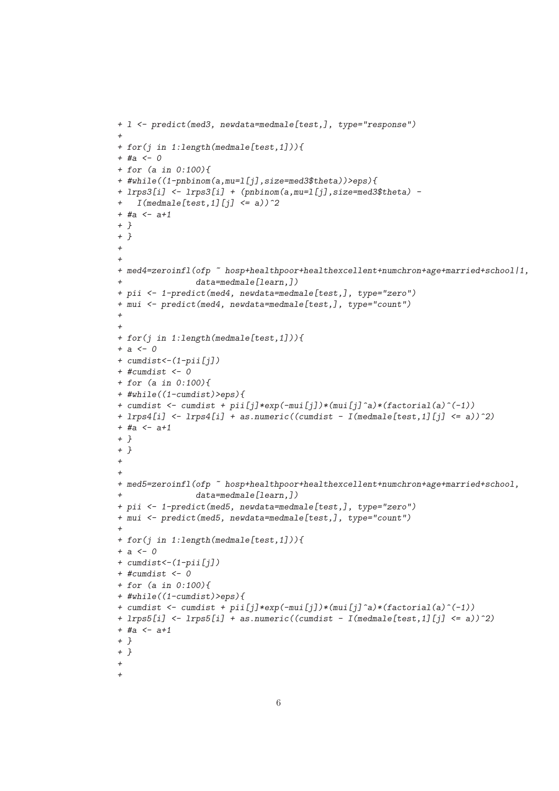```
+ l <- predict(med3, newdata=medmale[test,], type="response")
+
+ for(j in 1:length(medmale[test,1])){
+ #a <- 0
+ for (a in 0:100){
+ #while((1-pnbinom(a,mu=l[j],size=med3$theta))>eps){
+ lrps3[i] <- lrps3[i] + (pnbinom(a,mu=l[j],size=med3$theta) -
+ I(medmale[test,1][j] <= a))^2
+ #a <- a+1
+ }
+ }
+
+
+ med4=zeroinfl(ofp ~ hosp+healthpoor+healthexcellent+numchron+age+married+school|1,
+ data=medmale[learn,])
+ pii <- 1-predict(med4, newdata=medmale[test,], type="zero")
+ mui <- predict(med4, newdata=medmale[test,], type="count")
+
+
+ for(j in 1:length(medmale[test,1])){
+ a <- 0
+ cumdist<-(1-pii[j])
+ #cumdist <- 0
+ for (a in 0:100){
+ #while((1-cumdist)>eps){
+ cumdist <- cumdist + pii[j]*exp(-mui[j])*(mui[j]^a)*(factorial(a)^(-1))
+ lrps4[i] <- lrps4[i] + as.numeric((cumdist - I(medmale[test,1][j] <= a))^2)
+ #a <- a+1
+ }
+ }
+
+
+ med5=zeroinfl(ofp ~ hosp+healthpoor+healthexcellent+numchron+age+married+school,
               + data=medmale[learn,])
+ pii <- 1-predict(med5, newdata=medmale[test,], type="zero")
+ mui <- predict(med5, newdata=medmale[test,], type="count")
+
+ for(j in 1:length(medmale[test,1])){
+ a <- 0
+ cumdist<-(1-pii[j])
+ #cumdist <- 0
+ for (a in 0:100){
+ #while((1-cumdist)>eps){
+ cumdist <- cumdist + pii[j]*exp(-mui[j])*(mui[j]^a)*(factorial(a)^(-1))
+ lrps5[i] <- lrps5[i] + as.numeric((cumdist - I(medmale[test,1][j] <= a))^2)
+ #a <- a+1
+ }
+ }
+
+
```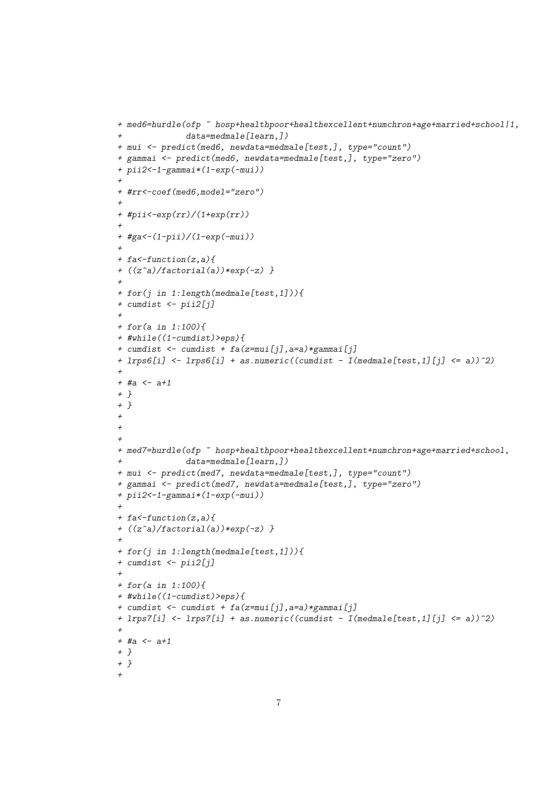```
+ med6=hurdle(ofp ~ hosp+healthpoor+healthexcellent+numchron+age+married+school|1,
+ data=medmale[learn,])
+ mui <- predict(med6, newdata=medmale[test,], type="count")
+ gammai <- predict(med6, newdata=medmale[test,], type="zero")
+ pii2<-1-gammai*(1-exp(-mui))
+
+ #rr<-coef(med6,model="zero")
+
+ #pii<-exp(rr)/(1+exp(rr))
+
+ #ga<-(1-pii)/(1-exp(-mui))
+
+ fa<-function(z,a){
+ ((z^a)/factorial(a))*exp(-z) }
+
+ for(j in 1:length(medmale[test,1])){
+ cumdist <- pii2[j]
+
+ for(a in 1:100){
+ #while((1-cumdist)>eps){
+ cumdist <- cumdist + fa(z=mui[j],a=a)*gammai[j]
+ lrps6[i] <- lrps6[i] + as.numeric((cumdist - I(medmale[test,1][j] <= a))^2)
+
+ #a <- a+1
+ }
+ }
+
+
+
+ med7=hurdle(ofp ~ hosp+healthpoor+healthexcellent+numchron+age+married+school,
              + data=medmale[learn,])
+ mui <- predict(med7, newdata=medmale[test,], type="count")
+ gammai <- predict(med7, newdata=medmale[test,], type="zero")
+ pii2<-1-gammai*(1-exp(-mui))
+
+ fa<-function(z,a){
+ ((z^a)/factorial(a))*exp(-z) }
+
+ for(j in 1:length(medmale[test,1])){
+ cumdist <- pii2[j]
+
+ for(a in 1:100){
+ #while((1-cumdist)>eps){
+ cumdist <- cumdist + fa(z=mui[j],a=a)*gammai[j]
+ lrps7[i] <- lrps7[i] + as.numeric((cumdist - I(medmale[test,1][j] <= a))^2)
+
+ #a <- a+1
+ }
+ }
+
```